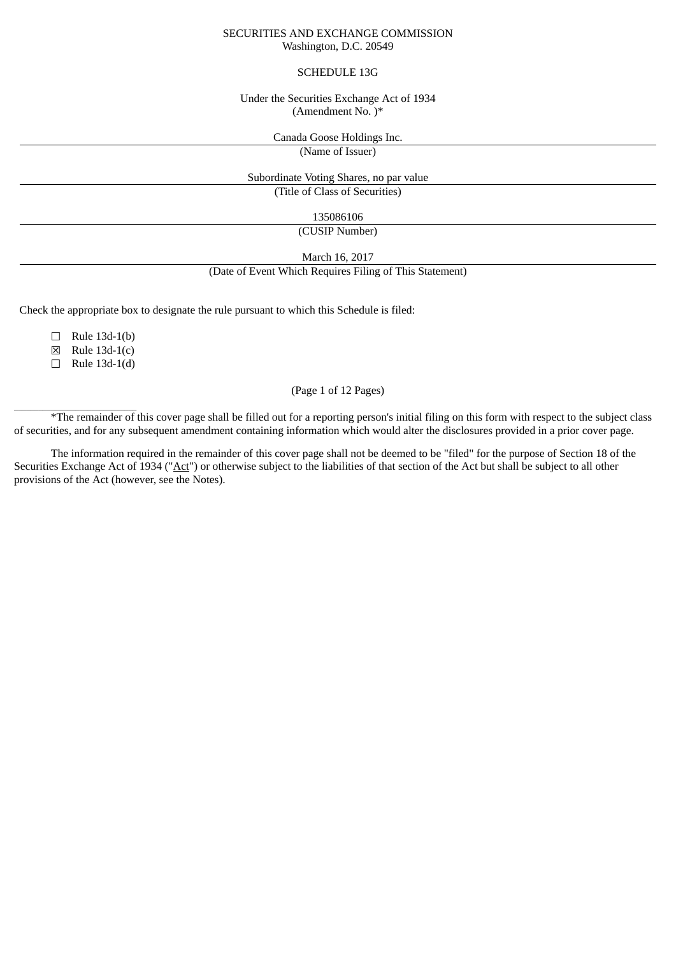#### SECURITIES AND EXCHANGE COMMISSION Washington, D.C. 20549

### SCHEDULE 13G

#### Under the Securities Exchange Act of 1934 (Amendment No. )\*

Canada Goose Holdings Inc.

(Name of Issuer)

#### Subordinate Voting Shares, no par value (Title of Class of Securities)

135086106

(CUSIP Number)

March 16, 2017

(Date of Event Which Requires Filing of This Statement)

Check the appropriate box to designate the rule pursuant to which this Schedule is filed:

 $\Box$  Rule 13d-1(b)

☒ Rule 13d-1(c)

 $\Box$  Rule 13d-1(d)

 $\frac{1}{2}$  ,  $\frac{1}{2}$  ,  $\frac{1}{2}$  ,  $\frac{1}{2}$  ,  $\frac{1}{2}$  ,  $\frac{1}{2}$  ,  $\frac{1}{2}$  ,  $\frac{1}{2}$  ,  $\frac{1}{2}$  ,  $\frac{1}{2}$  ,  $\frac{1}{2}$  ,  $\frac{1}{2}$  ,  $\frac{1}{2}$  ,  $\frac{1}{2}$  ,  $\frac{1}{2}$  ,  $\frac{1}{2}$  ,  $\frac{1}{2}$  ,  $\frac{1}{2}$  ,  $\frac{1$ 

## (Page 1 of 12 Pages)

\*The remainder of this cover page shall be filled out for a reporting person's initial filing on this form with respect to the subject class of securities, and for any subsequent amendment containing information which would alter the disclosures provided in a prior cover page.

The information required in the remainder of this cover page shall not be deemed to be "filed" for the purpose of Section 18 of the Securities Exchange Act of 1934 ("Act") or otherwise subject to the liabilities of that section of the Act but shall be subject to all other provisions of the Act (however, see the Notes).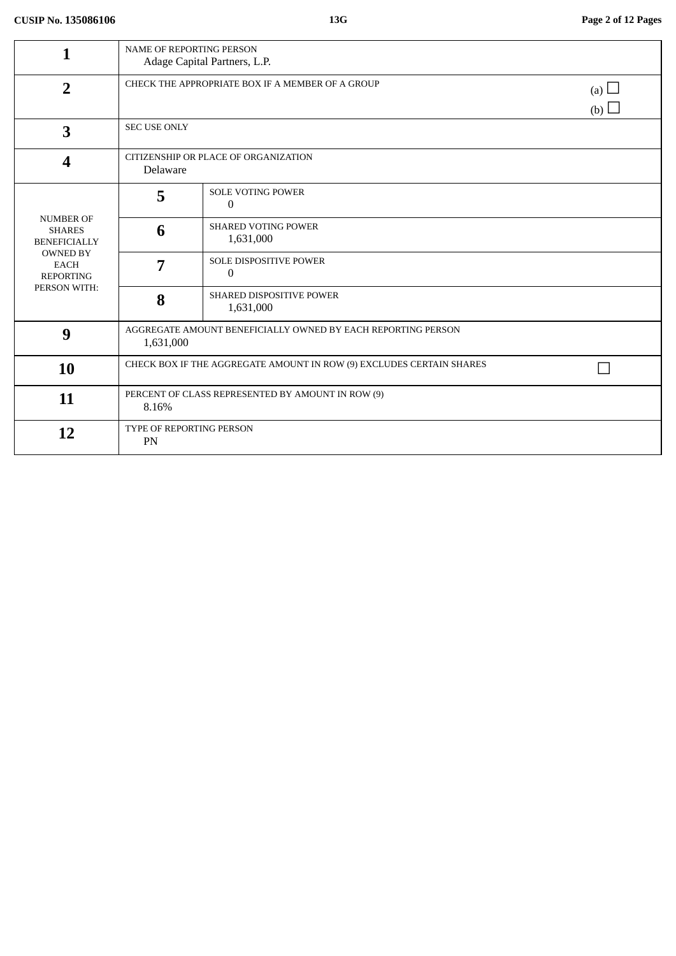| 1                                                                                                                              | <b>NAME OF REPORTING PERSON</b><br>Adage Capital Partners, L.P.           |                                            |                          |
|--------------------------------------------------------------------------------------------------------------------------------|---------------------------------------------------------------------------|--------------------------------------------|--------------------------|
| $\overline{2}$                                                                                                                 | CHECK THE APPROPRIATE BOX IF A MEMBER OF A GROUP                          |                                            | (a) $\Box$<br>(b) $\Box$ |
| 3                                                                                                                              | <b>SEC USE ONLY</b>                                                       |                                            |                          |
| 4                                                                                                                              | CITIZENSHIP OR PLACE OF ORGANIZATION<br>Delaware                          |                                            |                          |
| <b>NUMBER OF</b><br><b>SHARES</b><br><b>BENEFICIALLY</b><br><b>OWNED BY</b><br><b>EACH</b><br><b>REPORTING</b><br>PERSON WITH: | 5                                                                         | <b>SOLE VOTING POWER</b><br>$\mathbf{0}$   |                          |
|                                                                                                                                | 6                                                                         | <b>SHARED VOTING POWER</b><br>1,631,000    |                          |
|                                                                                                                                | 7                                                                         | SOLE DISPOSITIVE POWER<br>$\boldsymbol{0}$ |                          |
|                                                                                                                                | 8                                                                         | SHARED DISPOSITIVE POWER<br>1,631,000      |                          |
| 9                                                                                                                              | AGGREGATE AMOUNT BENEFICIALLY OWNED BY EACH REPORTING PERSON<br>1,631,000 |                                            |                          |
| 10                                                                                                                             | CHECK BOX IF THE AGGREGATE AMOUNT IN ROW (9) EXCLUDES CERTAIN SHARES      |                                            |                          |
| 11                                                                                                                             | PERCENT OF CLASS REPRESENTED BY AMOUNT IN ROW (9)<br>8.16%                |                                            |                          |
| 12                                                                                                                             | <b>TYPE OF REPORTING PERSON</b><br>PN                                     |                                            |                          |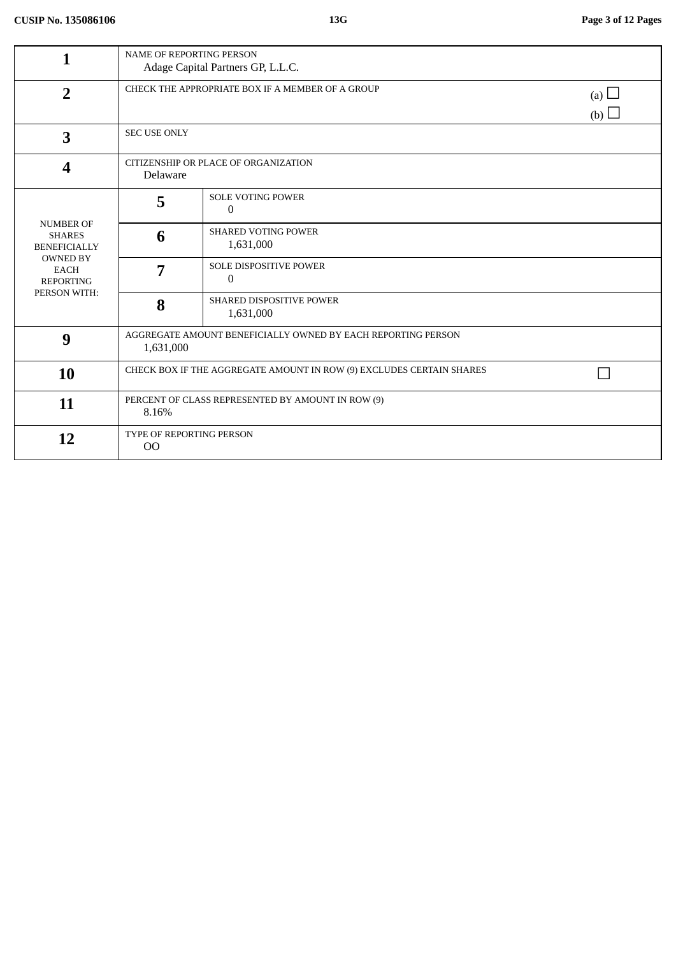|                                                                                                                                | NAME OF REPORTING PERSON<br>Adage Capital Partners GP, L.L.C.                |                                           |  |  |
|--------------------------------------------------------------------------------------------------------------------------------|------------------------------------------------------------------------------|-------------------------------------------|--|--|
| $\overline{2}$                                                                                                                 | CHECK THE APPROPRIATE BOX IF A MEMBER OF A GROUP<br>(a) $\Box$<br>(b) $\Box$ |                                           |  |  |
| 3                                                                                                                              | <b>SEC USE ONLY</b>                                                          |                                           |  |  |
| 4                                                                                                                              | CITIZENSHIP OR PLACE OF ORGANIZATION<br>Delaware                             |                                           |  |  |
| <b>NUMBER OF</b><br><b>SHARES</b><br><b>BENEFICIALLY</b><br><b>OWNED BY</b><br><b>EACH</b><br><b>REPORTING</b><br>PERSON WITH: | 5                                                                            | <b>SOLE VOTING POWER</b><br>$\Omega$      |  |  |
|                                                                                                                                | 6                                                                            | <b>SHARED VOTING POWER</b><br>1,631,000   |  |  |
|                                                                                                                                | 7                                                                            | <b>SOLE DISPOSITIVE POWER</b><br>$\bf{0}$ |  |  |
|                                                                                                                                | 8                                                                            | SHARED DISPOSITIVE POWER<br>1,631,000     |  |  |
| 9                                                                                                                              | AGGREGATE AMOUNT BENEFICIALLY OWNED BY EACH REPORTING PERSON<br>1,631,000    |                                           |  |  |
| 10                                                                                                                             | CHECK BOX IF THE AGGREGATE AMOUNT IN ROW (9) EXCLUDES CERTAIN SHARES         |                                           |  |  |
| 11                                                                                                                             | PERCENT OF CLASS REPRESENTED BY AMOUNT IN ROW (9)<br>8.16%                   |                                           |  |  |
| 12                                                                                                                             | TYPE OF REPORTING PERSON<br>00                                               |                                           |  |  |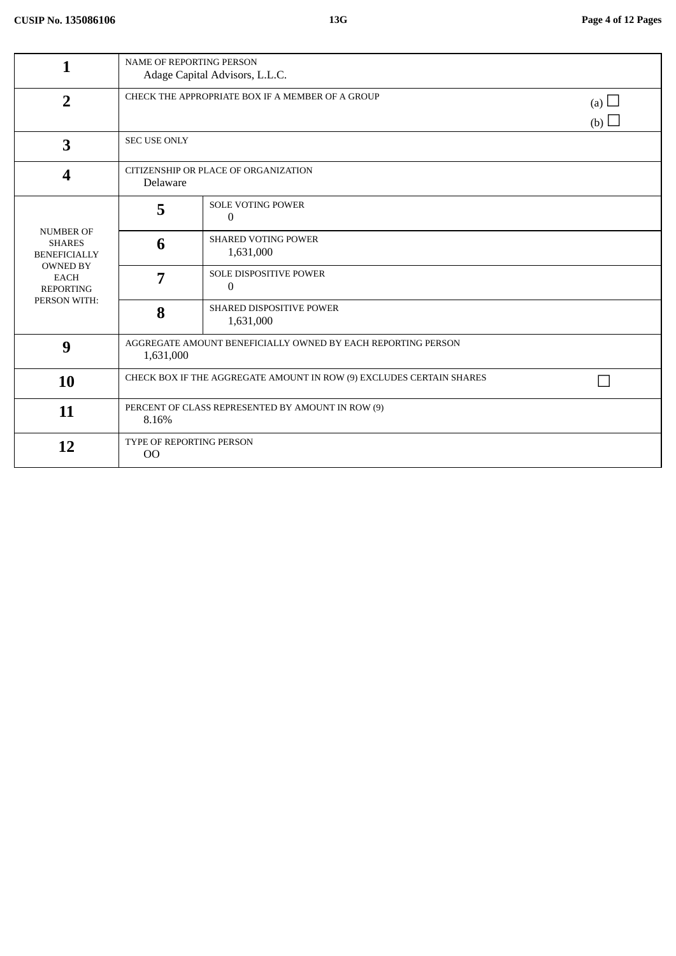| 1                                                                                                                              | <b>NAME OF REPORTING PERSON</b><br>Adage Capital Advisors, L.L.C.            |                                                 |  |  |
|--------------------------------------------------------------------------------------------------------------------------------|------------------------------------------------------------------------------|-------------------------------------------------|--|--|
| $\overline{2}$                                                                                                                 | CHECK THE APPROPRIATE BOX IF A MEMBER OF A GROUP<br>(a) $\Box$<br>(b) $\Box$ |                                                 |  |  |
| 3                                                                                                                              | <b>SEC USE ONLY</b>                                                          |                                                 |  |  |
| 4                                                                                                                              | CITIZENSHIP OR PLACE OF ORGANIZATION<br>Delaware                             |                                                 |  |  |
| <b>NUMBER OF</b><br><b>SHARES</b><br><b>BENEFICIALLY</b><br><b>OWNED BY</b><br><b>EACH</b><br><b>REPORTING</b><br>PERSON WITH: | 5                                                                            | SOLE VOTING POWER<br>$\Omega$                   |  |  |
|                                                                                                                                | 6                                                                            | <b>SHARED VOTING POWER</b><br>1,631,000         |  |  |
|                                                                                                                                | 7                                                                            | <b>SOLE DISPOSITIVE POWER</b><br>$\overline{0}$ |  |  |
|                                                                                                                                | 8                                                                            | <b>SHARED DISPOSITIVE POWER</b><br>1,631,000    |  |  |
| 9                                                                                                                              | AGGREGATE AMOUNT BENEFICIALLY OWNED BY EACH REPORTING PERSON<br>1,631,000    |                                                 |  |  |
| 10                                                                                                                             | CHECK BOX IF THE AGGREGATE AMOUNT IN ROW (9) EXCLUDES CERTAIN SHARES         |                                                 |  |  |
| 11                                                                                                                             | PERCENT OF CLASS REPRESENTED BY AMOUNT IN ROW (9)<br>8.16%                   |                                                 |  |  |
| 12                                                                                                                             | TYPE OF REPORTING PERSON<br>O <sub>O</sub>                                   |                                                 |  |  |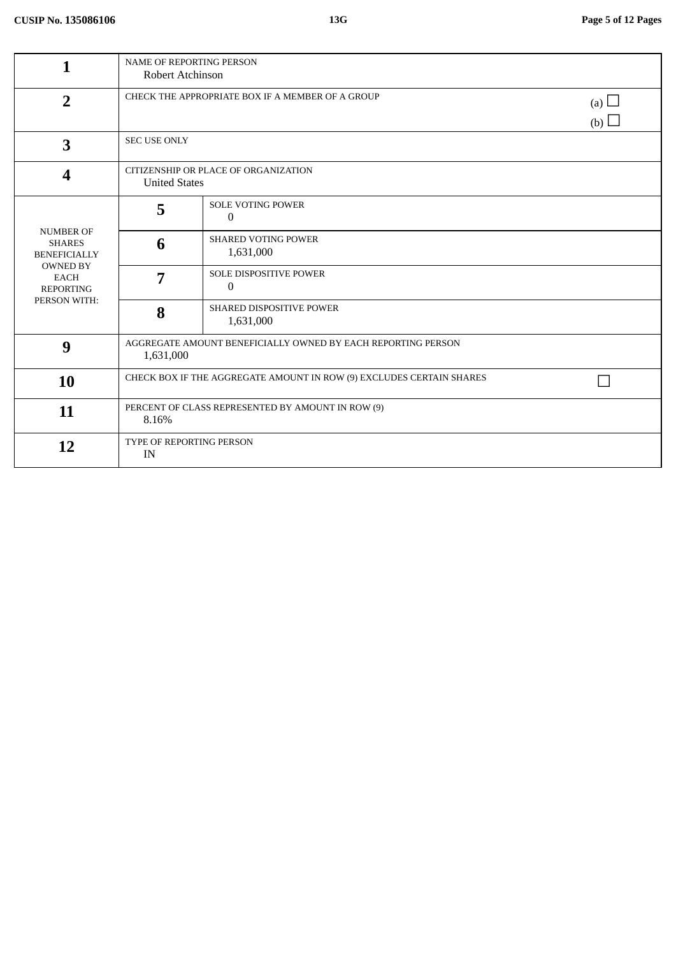| 1                                                                                                                              | NAME OF REPORTING PERSON<br>Robert Atchinson                              |                                                   |                   |
|--------------------------------------------------------------------------------------------------------------------------------|---------------------------------------------------------------------------|---------------------------------------------------|-------------------|
| $\overline{2}$                                                                                                                 | CHECK THE APPROPRIATE BOX IF A MEMBER OF A GROUP                          |                                                   | (a) $\Box$<br>(b) |
| $\overline{\mathbf{3}}$                                                                                                        | <b>SEC USE ONLY</b>                                                       |                                                   |                   |
| 4                                                                                                                              | CITIZENSHIP OR PLACE OF ORGANIZATION<br><b>United States</b>              |                                                   |                   |
| <b>NUMBER OF</b><br><b>SHARES</b><br><b>BENEFICIALLY</b><br><b>OWNED BY</b><br><b>EACH</b><br><b>REPORTING</b><br>PERSON WITH: | 5                                                                         | <b>SOLE VOTING POWER</b><br>$\mathbf{0}$          |                   |
|                                                                                                                                | 6                                                                         | <b>SHARED VOTING POWER</b><br>1,631,000           |                   |
|                                                                                                                                | 7                                                                         | <b>SOLE DISPOSITIVE POWER</b><br>$\boldsymbol{0}$ |                   |
|                                                                                                                                | 8                                                                         | SHARED DISPOSITIVE POWER<br>1,631,000             |                   |
| 9                                                                                                                              | AGGREGATE AMOUNT BENEFICIALLY OWNED BY EACH REPORTING PERSON<br>1,631,000 |                                                   |                   |
| 10                                                                                                                             | CHECK BOX IF THE AGGREGATE AMOUNT IN ROW (9) EXCLUDES CERTAIN SHARES      |                                                   |                   |
| 11                                                                                                                             | PERCENT OF CLASS REPRESENTED BY AMOUNT IN ROW (9)<br>8.16%                |                                                   |                   |
| 12                                                                                                                             | TYPE OF REPORTING PERSON<br>IN                                            |                                                   |                   |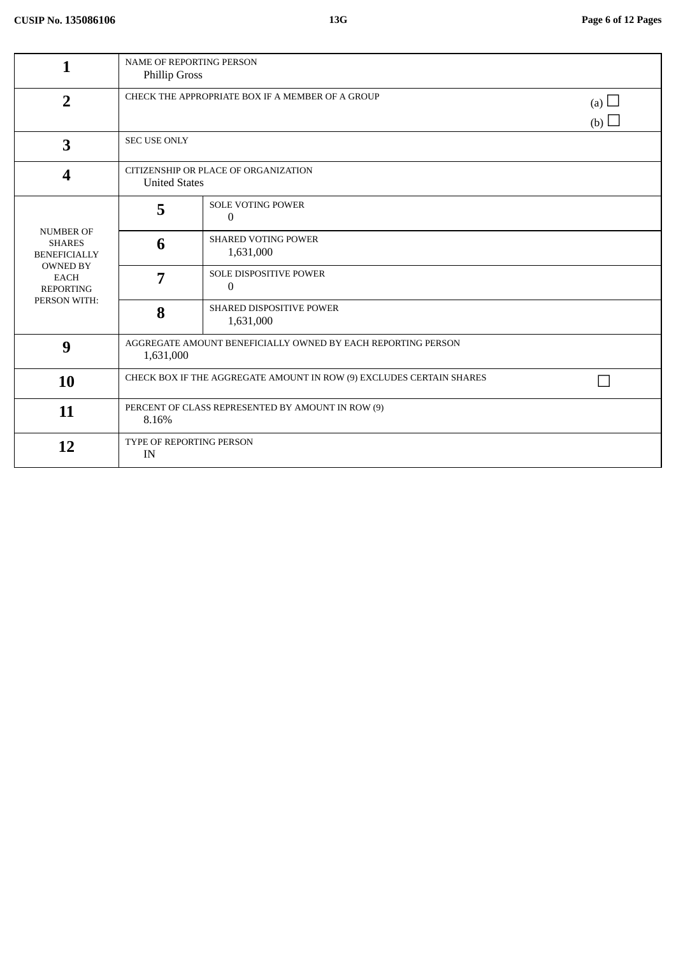| 1                                                                                                                              | <b>NAME OF REPORTING PERSON</b><br>Phillip Gross                             |                                              |  |
|--------------------------------------------------------------------------------------------------------------------------------|------------------------------------------------------------------------------|----------------------------------------------|--|
| $\overline{2}$                                                                                                                 | CHECK THE APPROPRIATE BOX IF A MEMBER OF A GROUP<br>(a) $\Box$<br>(b) $\Box$ |                                              |  |
| 3                                                                                                                              | <b>SEC USE ONLY</b>                                                          |                                              |  |
| 4                                                                                                                              | CITIZENSHIP OR PLACE OF ORGANIZATION<br><b>United States</b>                 |                                              |  |
| <b>NUMBER OF</b><br><b>SHARES</b><br><b>BENEFICIALLY</b><br><b>OWNED BY</b><br><b>EACH</b><br><b>REPORTING</b><br>PERSON WITH: | 5                                                                            | <b>SOLE VOTING POWER</b><br>0                |  |
|                                                                                                                                | 6                                                                            | <b>SHARED VOTING POWER</b><br>1,631,000      |  |
|                                                                                                                                | 7                                                                            | <b>SOLE DISPOSITIVE POWER</b><br>$\theta$    |  |
|                                                                                                                                | 8                                                                            | <b>SHARED DISPOSITIVE POWER</b><br>1,631,000 |  |
| 9                                                                                                                              | AGGREGATE AMOUNT BENEFICIALLY OWNED BY EACH REPORTING PERSON<br>1,631,000    |                                              |  |
| 10                                                                                                                             | CHECK BOX IF THE AGGREGATE AMOUNT IN ROW (9) EXCLUDES CERTAIN SHARES         |                                              |  |
| 11                                                                                                                             | PERCENT OF CLASS REPRESENTED BY AMOUNT IN ROW (9)<br>8.16%                   |                                              |  |
| 12                                                                                                                             | TYPE OF REPORTING PERSON<br>IN                                               |                                              |  |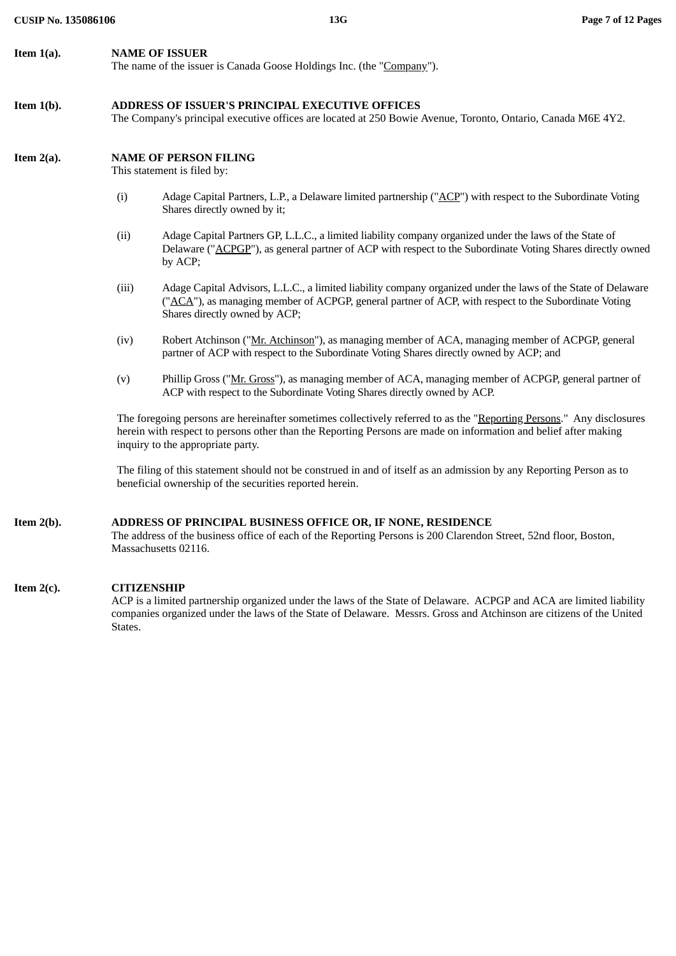# **Item 1(b). ADDRESS OF ISSUER'S PRINCIPAL EXECUTIVE OFFICES**

The Company's principal executive offices are located at 250 Bowie Avenue, Toronto, Ontario, Canada M6E 4Y2.

# **Item 2(a). NAME OF PERSON FILING**

This statement is filed by:

- (i) Adage Capital Partners, L.P., a Delaware limited partnership ("ACP") with respect to the Subordinate Voting Shares directly owned by it;
- (ii) Adage Capital Partners GP, L.L.C., a limited liability company organized under the laws of the State of Delaware ("ACPGP"), as general partner of ACP with respect to the Subordinate Voting Shares directly owned by ACP;
- (iii) Adage Capital Advisors, L.L.C., a limited liability company organized under the laws of the State of Delaware ("ACA"), as managing member of ACPGP, general partner of ACP, with respect to the Subordinate Voting Shares directly owned by ACP;
- (iv) Robert Atchinson ("Mr. Atchinson"), as managing member of ACA, managing member of ACPGP, general partner of ACP with respect to the Subordinate Voting Shares directly owned by ACP; and
- (v) Phillip Gross ("Mr. Gross"), as managing member of ACA, managing member of ACPGP, general partner of ACP with respect to the Subordinate Voting Shares directly owned by ACP.

The foregoing persons are hereinafter sometimes collectively referred to as the "Reporting Persons." Any disclosures herein with respect to persons other than the Reporting Persons are made on information and belief after making inquiry to the appropriate party.

The filing of this statement should not be construed in and of itself as an admission by any Reporting Person as to beneficial ownership of the securities reported herein.

# **Item 2(b). ADDRESS OF PRINCIPAL BUSINESS OFFICE OR, IF NONE, RESIDENCE**

The address of the business office of each of the Reporting Persons is 200 Clarendon Street, 52nd floor, Boston, Massachusetts 02116.

# **Item 2(c). CITIZENSHIP**

ACP is a limited partnership organized under the laws of the State of Delaware. ACPGP and ACA are limited liability companies organized under the laws of the State of Delaware. Messrs. Gross and Atchinson are citizens of the United States.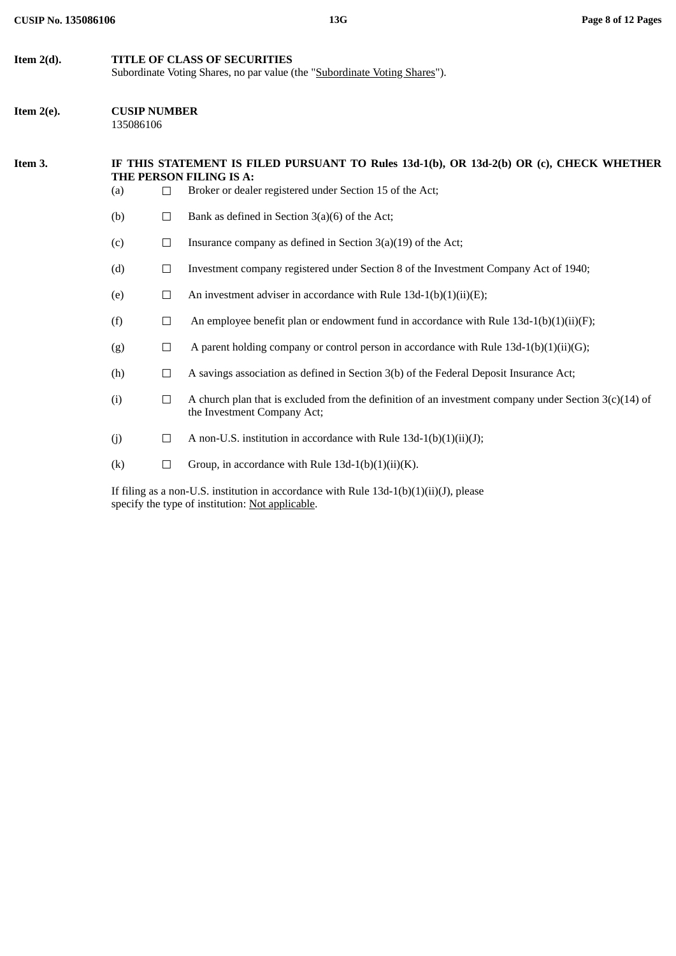| <b>CUSIP No. 135086106</b> |                                                                                                            |        | 13G                                                                                                                                                                             | Page 8 of 12 Pages |
|----------------------------|------------------------------------------------------------------------------------------------------------|--------|---------------------------------------------------------------------------------------------------------------------------------------------------------------------------------|--------------------|
| Item $2(d)$ .              | TITLE OF CLASS OF SECURITIES<br>Subordinate Voting Shares, no par value (the "Subordinate Voting Shares"). |        |                                                                                                                                                                                 |                    |
| Item $2(e)$ .              | <b>CUSIP NUMBER</b><br>135086106                                                                           |        |                                                                                                                                                                                 |                    |
| Item 3.                    | (a)                                                                                                        | $\Box$ | IF THIS STATEMENT IS FILED PURSUANT TO Rules 13d-1(b), OR 13d-2(b) OR (c), CHECK WHETHER<br>THE PERSON FILING IS A:<br>Broker or dealer registered under Section 15 of the Act; |                    |
|                            | (b)                                                                                                        | $\Box$ | Bank as defined in Section $3(a)(6)$ of the Act;                                                                                                                                |                    |
|                            | (c)                                                                                                        | $\Box$ | Insurance company as defined in Section $3(a)(19)$ of the Act;                                                                                                                  |                    |
|                            | (d)                                                                                                        | $\Box$ | Investment company registered under Section 8 of the Investment Company Act of 1940;                                                                                            |                    |
|                            | (e)                                                                                                        | $\Box$ | An investment adviser in accordance with Rule 13d-1(b)(1)(ii)(E);                                                                                                               |                    |
|                            | (f)                                                                                                        | $\Box$ | An employee benefit plan or endowment fund in accordance with Rule $13d-1(b)(1)(ii)(F)$ ;                                                                                       |                    |
|                            | (g)                                                                                                        | $\Box$ | A parent holding company or control person in accordance with Rule 13d-1(b)(1)(ii)(G);                                                                                          |                    |
|                            | (h)                                                                                                        | $\Box$ | A savings association as defined in Section 3(b) of the Federal Deposit Insurance Act;                                                                                          |                    |
|                            | (i)                                                                                                        | $\Box$ | A church plan that is excluded from the definition of an investment company under Section $3(c)(14)$ of<br>the Investment Company Act;                                          |                    |
|                            | (j)                                                                                                        | $\Box$ | A non-U.S. institution in accordance with Rule 13d-1(b)(1)(ii)(J);                                                                                                              |                    |

(k)  $\Box$  Group, in accordance with Rule 13d-1(b)(1)(ii)(K).

If filing as a non-U.S. institution in accordance with Rule 13d-1(b)(1)(ii)(J), please specify the type of institution: Not applicable.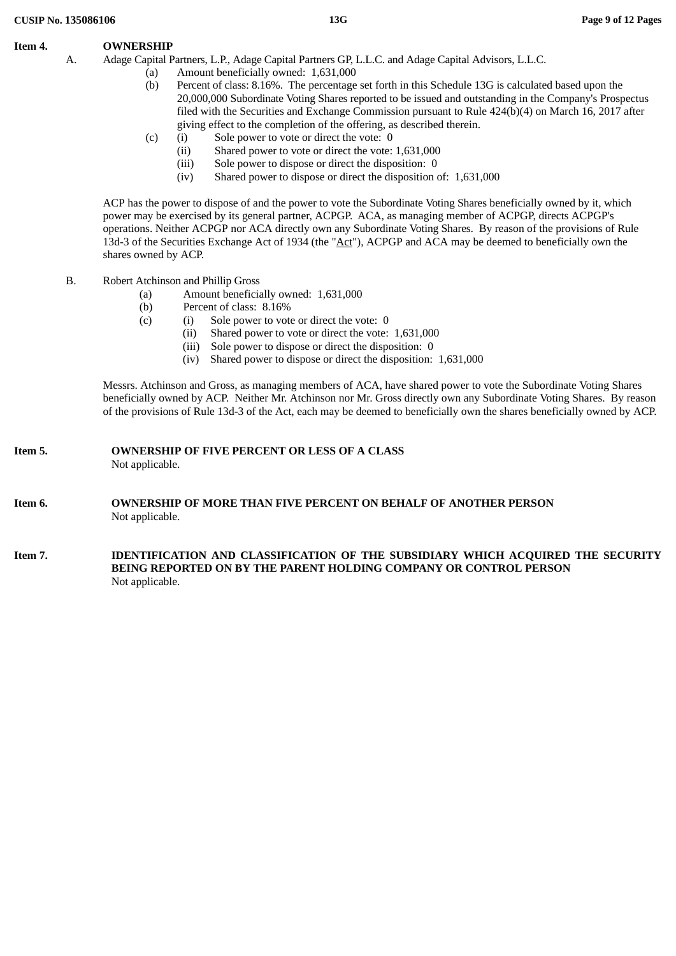## **Item 4. OWNERSHIP**

- A. Adage Capital Partners, L.P., Adage Capital Partners GP, L.L.C. and Adage Capital Advisors, L.L.C.
	- (a) Amount beneficially owned: 1,631,000
	- (b) Percent of class: 8.16%. The percentage set forth in this Schedule 13G is calculated based upon the 20,000,000 Subordinate Voting Shares reported to be issued and outstanding in the Company's Prospectus filed with the Securities and Exchange Commission pursuant to Rule 424(b)(4) on March 16, 2017 after giving effect to the completion of the offering, as described therein.
	- (c) (i) Sole power to vote or direct the vote: 0
		- (ii) Shared power to vote or direct the vote: 1,631,000
		- (iii) Sole power to dispose or direct the disposition: 0
		- (iv) Shared power to dispose or direct the disposition of: 1,631,000

ACP has the power to dispose of and the power to vote the Subordinate Voting Shares beneficially owned by it, which power may be exercised by its general partner, ACPGP. ACA, as managing member of ACPGP, directs ACPGP's operations. Neither ACPGP nor ACA directly own any Subordinate Voting Shares. By reason of the provisions of Rule 13d-3 of the Securities Exchange Act of 1934 (the "Act"), ACPGP and ACA may be deemed to beneficially own the shares owned by ACP.

- B. Robert Atchinson and Phillip Gross
	- (a) Amount beneficially owned: 1,631,000
	- (b) Percent of class: 8.16%
	- (c) (i) Sole power to vote or direct the vote: 0
		- (ii) Shared power to vote or direct the vote: 1,631,000
		- (iii) Sole power to dispose or direct the disposition: 0
		- (iv) Shared power to dispose or direct the disposition: 1,631,000

Messrs. Atchinson and Gross, as managing members of ACA, have shared power to vote the Subordinate Voting Shares beneficially owned by ACP. Neither Mr. Atchinson nor Mr. Gross directly own any Subordinate Voting Shares. By reason of the provisions of Rule 13d-3 of the Act, each may be deemed to beneficially own the shares beneficially owned by ACP.

## **Item 5. OWNERSHIP OF FIVE PERCENT OR LESS OF A CLASS** Not applicable.

## **Item 6. OWNERSHIP OF MORE THAN FIVE PERCENT ON BEHALF OF ANOTHER PERSON** Not applicable.

**Item 7. IDENTIFICATION AND CLASSIFICATION OF THE SUBSIDIARY WHICH ACQUIRED THE SECURITY BEING REPORTED ON BY THE PARENT HOLDING COMPANY OR CONTROL PERSON** Not applicable.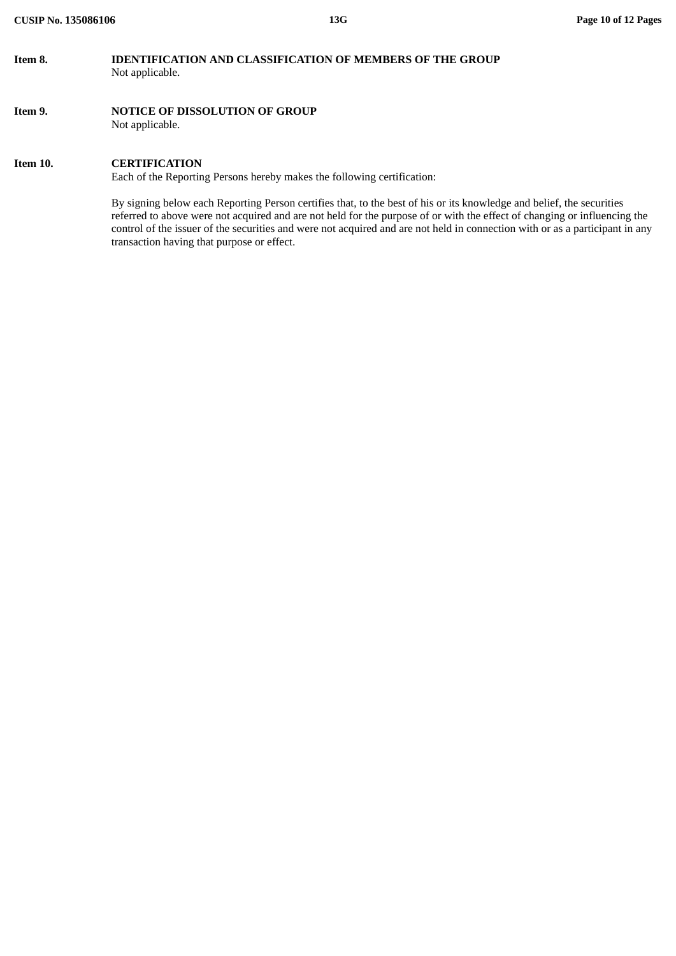# **Item 8. IDENTIFICATION AND CLASSIFICATION OF MEMBERS OF THE GROUP** Not applicable.

**Item 9. NOTICE OF DISSOLUTION OF GROUP** Not applicable.

## **Item 10. CERTIFICATION**

Each of the Reporting Persons hereby makes the following certification:

By signing below each Reporting Person certifies that, to the best of his or its knowledge and belief, the securities referred to above were not acquired and are not held for the purpose of or with the effect of changing or influencing the control of the issuer of the securities and were not acquired and are not held in connection with or as a participant in any transaction having that purpose or effect.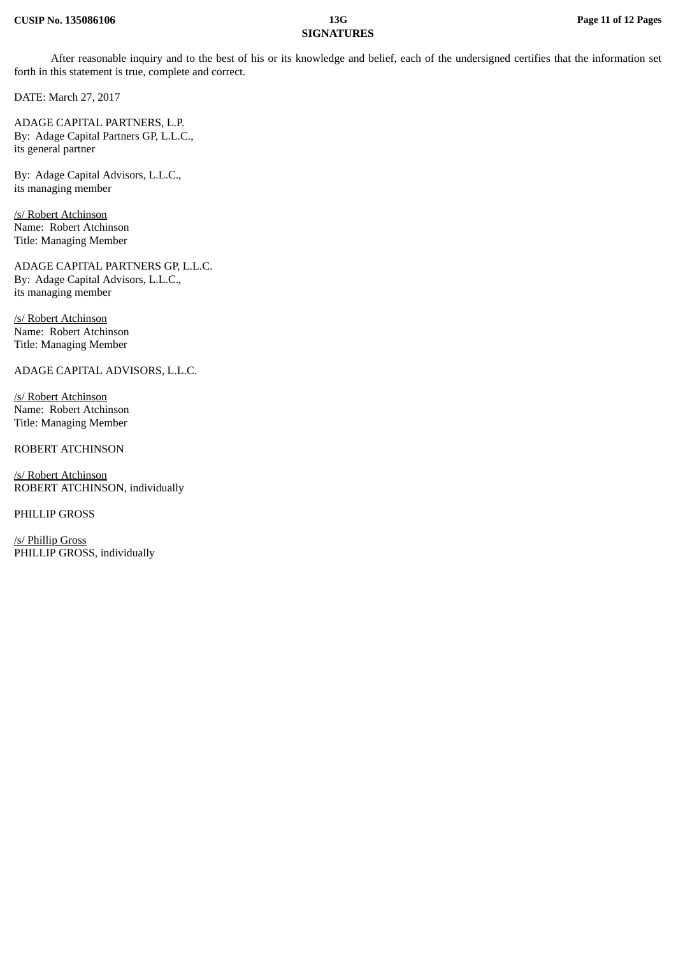# **SIGNATURES**

After reasonable inquiry and to the best of his or its knowledge and belief, each of the undersigned certifies that the information set forth in this statement is true, complete and correct.

DATE: March 27, 2017

ADAGE CAPITAL PARTNERS, L.P. By: Adage Capital Partners GP, L.L.C., its general partner

By: Adage Capital Advisors, L.L.C., its managing member

/s/ Robert Atchinson Name: Robert Atchinson Title: Managing Member

ADAGE CAPITAL PARTNERS GP, L.L.C. By: Adage Capital Advisors, L.L.C., its managing member

/s/ Robert Atchinson Name: Robert Atchinson Title: Managing Member

ADAGE CAPITAL ADVISORS, L.L.C.

/s/ Robert Atchinson Name: Robert Atchinson Title: Managing Member

ROBERT ATCHINSON

/s/ Robert Atchinson ROBERT ATCHINSON, individually

PHILLIP GROSS

/s/ Phillip Gross PHILLIP GROSS, individually